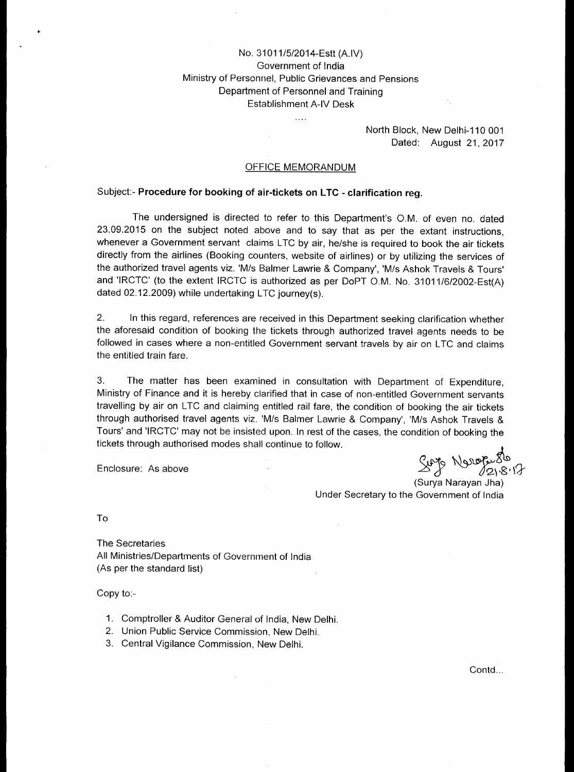## No. 31011/5/2014-Estt (A.IV) Government of India Ministry of Personnel, Public Grievances and Pensions Department of Personnel and Training Establishment A-IV Desk

 $\ldots$ 

### North Block, New Delhi-110 001 Dated: August 21, 2017

### OFFICE MEMORANDUM

### Subject:- **Procedure for booking of air-tickets on LTC - clarification reg.**

The undersigned is directed to refer to this Department's O.M. of even no. dated 23.09.2015 on the subject noted above and to say that as per the extant instructions, whenever a Government servant claims LTC by air, he/she is required to book the air tickets directly from the airlines (Booking counters, website of airlines) or by utilizing the services of the authorized travel agents viz. 'M/s Balmer Lawrie & Company', 'M/s Ashok Travels & Tours' and 'IRCTC' (to the extent IRCTC is authorized as per DoPT O.M. No. 31011/6/2002-Est(A) dated 02.12.2009) while undertaking LTC journey(s).

2. In this regard, references are received in this Department seeking clarification whether the aforesaid condition of booking the tickets through authorized travel agents needs to be followed in cases where a non-entitled Government servant travels by air on LTC and claims the entitled train fare.

3. The matter has been examined in consultation with Department of Expenditure, Ministry of Finance and it is hereby clarified that in case of non-entitled Government servants travelling by air on LTC and claiming entitled rail fare, the condition of booking the air tickets through authorised travel agents viz. 'M/s Balmer Lawrie & Company', 'M/s Ashok Travels & Tours' and 'IRCTC' may not be insisted upon. In rest of the cases, the condition of booking the tickets through authorised modes shall continue to follow.

Enclosure: As above

Sup Noropullo

(Surya Narayan Jha) Under Secretary to the Government of India

To

The Secretaries All Ministries/Departments of Government of India (As per the standard list)

Copy to:-

- 1. Comptroller & Auditor General of India, New Delhi.
- 2. Union Public Service Commission, New Delhi.
- 3. Central Vigilance Commission, New Delhi.

Contd...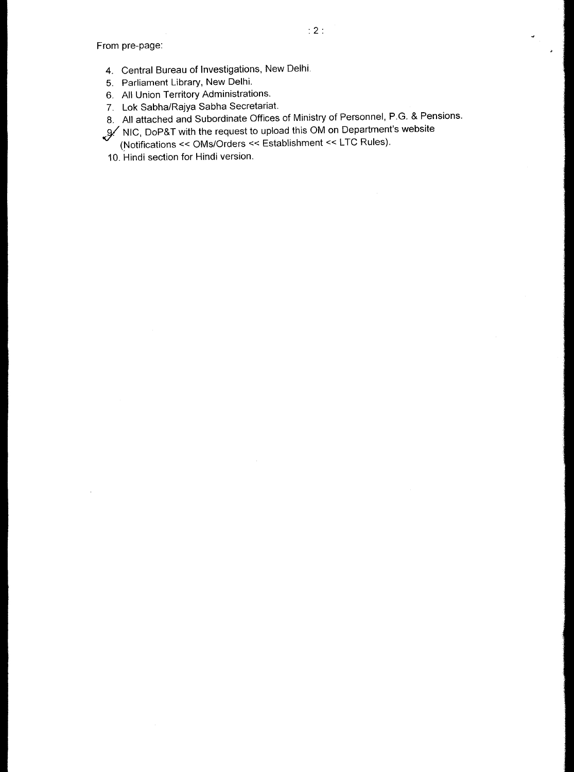From pre-page:

- 4. Central Bureau of Investigations, New Delhi.
- 5. Parliament Library, New Delhi.
- 6. All Union Territory Administrations.
- 7. Lok Sabha/Rajya Sabha Secretariat.
- 8. All attached and Subordinate Offices of Ministry of Personnel, P.G. & Pensions.
- ,(97 NIC, DoP&T with the request to upload this OM on Department's website
- (Notifications << OMs/Orders << Establishment << LTC Rules).
- 10. Hindi section for Hindi version.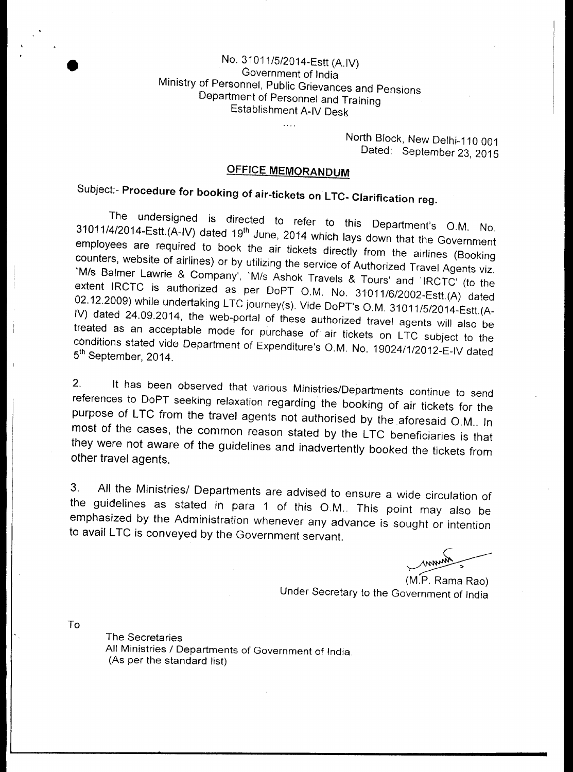## No. 31011/5/2014-Estt (A.IV) Government of India Ministry of Personnel, Public Grievances and Pensions Department of Personnel and Training Establishment A-IV Desk

 $\ldots$ 

North Block, New Delhi-110 001 Dated: September 23, 2015

# **OFFICE MEMQRANDUM**

Subject:- **Procedure for booking of air-tickets on LTC- Clarification reg.** 

The undersigned is directed to refer to this Department's O.M. No. 31011/4/2014-Estt.(A-IV) dated 19<sup>th</sup> June, 2014 which lays down that the Government employees are required to book the air tickets directly from the airlines (Booking counters, website of airlines) or by utilizing the service of Authorized Travel Agents viz. 'M/s Balmer Lawrie & Company', 'M/s Ashok Travels & Tours' and 'IRCTC' (to the extent IRCTC is authorized as per DoPT O.M. No. 31011 /6/2002-Estt.(A) dated 02.12.2009) while undertaking LTC journey(s). Vide DoPT's O.M. 31011/5/2014-Estt.(A-IV) dated 24,09.2014, the web-portal of these authorized travel agents will also be treated as an acceptable mode for purchase of• air tickets on LTC subject to the conditions stated vide Department of Expenditure's O.M. No. 19024/1/2012-E-IV dated 5<sup>th</sup> September. 2014.

2. It has been observed that various Ministries/Departments continue to send references to DoPT seeking relaxation regarding the booking of air tickets for the purpose of LTC from the travel agents not authorised by the aforesaid O.M.. In most of the cases, the common reason stated by the LTC beneficiaries is that they were not aware of the guidelines and inadvertently booked the tickets from other travel agents.

3. All the Ministries/ Departments are advised to ensure a wide circulation of the guidelines as stated in para 1 of this O.M.. This point may also be emphasized by the Administration whenever any advance is sought or intention to avail LTC is conveyed by the Government servant.

(M.P. Rama Rao) Under Secretary to the Government of India

To

The Secretaries All Ministries / Departments of Government of India. (As per the standard list)